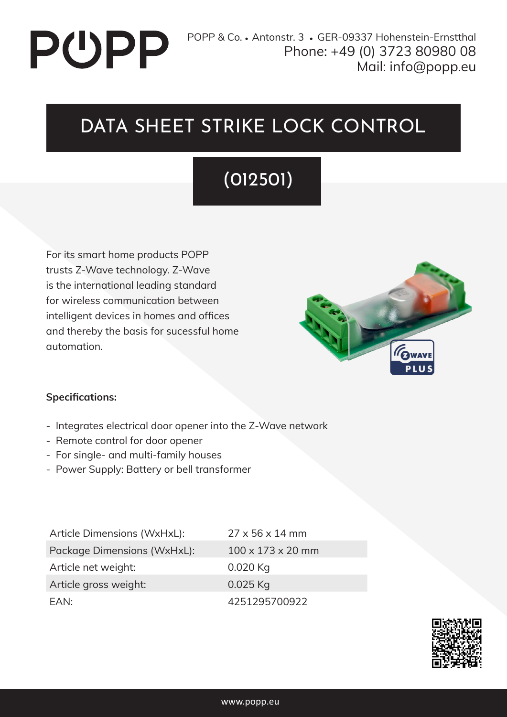# PUPP

## DATA SHEET STRIKE LOCK CONTROL

## (012501)

For its smart home products POPP trusts Z-Wave technology. Z-Wave is the international leading standard for wireless communication between intelligent devices in homes and offices and thereby the basis for sucessful home automation.



#### **Specifications:**

- Integrates electrical door opener into the Z-Wave network
- Remote control for door opener
- For single- and multi-family houses
- Power Supply: Battery or bell transformer

Article Dimensions (WxHxL): 27 x 56 x 14 mm Package Dimensions (WxHxL): 100 x 173 x 20 mm Article net weight: 0.020 Kg Article gross weight: 0.025 Kg EAN: 4251295700922